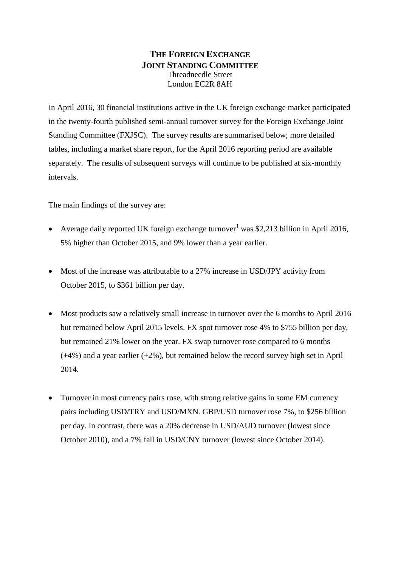## **THE FOREIGN EXCHANGE JOINT STANDING COMMITTEE** Threadneedle Street London EC2R 8AH

In April 2016, 30 financial institutions active in the UK foreign exchange market participated in the twenty-fourth published semi-annual turnover survey for the Foreign Exchange Joint Standing Committee (FXJSC). The survey results are summarised below; more detailed tables, including a market share report, for the April 2016 reporting period are available separately. The results of subsequent surveys will continue to be published at six-monthly intervals.

The main findings of the survey are:

- Average daily reported UK foreign exchange turnover<sup>1</sup> was \$2,213 billion in April 2016. 5% higher than October 2015, and 9% lower than a year earlier.
- Most of the increase was attributable to a 27% increase in USD/JPY activity from October 2015, to \$361 billion per day.
- Most products saw a relatively small increase in turnover over the 6 months to April 2016 but remained below April 2015 levels. FX spot turnover rose 4% to \$755 billion per day, but remained 21% lower on the year. FX swap turnover rose compared to 6 months  $(+4%)$  and a year earlier  $(+2%)$ , but remained below the record survey high set in April 2014.
- Turnover in most currency pairs rose, with strong relative gains in some EM currency pairs including USD/TRY and USD/MXN. GBP/USD turnover rose 7%, to \$256 billion per day. In contrast, there was a 20% decrease in USD/AUD turnover (lowest since October 2010), and a 7% fall in USD/CNY turnover (lowest since October 2014).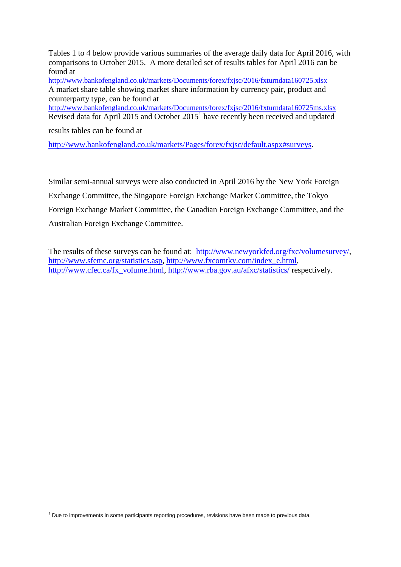Tables 1 to 4 below provide various summaries of the average daily data for April 2016, with comparisons to October 2015. A more detailed set of results tables for April 2016 can be found at

<http://www.bankofengland.co.uk/markets/Documents/forex/fxjsc/2016/fxturndata160725.xlsx> A market share table showing market share information by currency pair, product and counterparty type, can be found at

<http://www.bankofengland.co.uk/markets/Documents/forex/fxjsc/2016/fxturndata160725ms.xlsx> Revised data for April 2015 and October  $2015<sup>1</sup>$  have recently been received and updated

results tables can be found at

1

[http://www.bankofengland.co.uk/markets/Pages/forex/fxjsc/default.aspx#surveys.](http://www.bankofengland.co.uk/markets/Pages/forex/fxjsc/default.aspx#surveys)

Similar semi-annual surveys were also conducted in April 2016 by the New York Foreign Exchange Committee, the Singapore Foreign Exchange Market Committee, the Tokyo Foreign Exchange Market Committee, the Canadian Foreign Exchange Committee, and the Australian Foreign Exchange Committee.

The results of these surveys can be found at: [http://www.newyorkfed.org/fxc/volumesurvey/,](http://www.newyorkfed.org/fxc/volumesurvey/) [http://www.sfemc.org/statistics.asp,](http://www.sfemc.org/statistics.asp) [http://www.fxcomtky.com/index\\_e.html,](http://www.fxcomtky.com/index_e.html) [http://www.cfec.ca/fx\\_volume.html,](http://www.cfec.ca/fx_volume.html)<http://www.rba.gov.au/afxc/statistics/> respectively.

 $1$  Due to improvements in some participants reporting procedures, revisions have been made to previous data.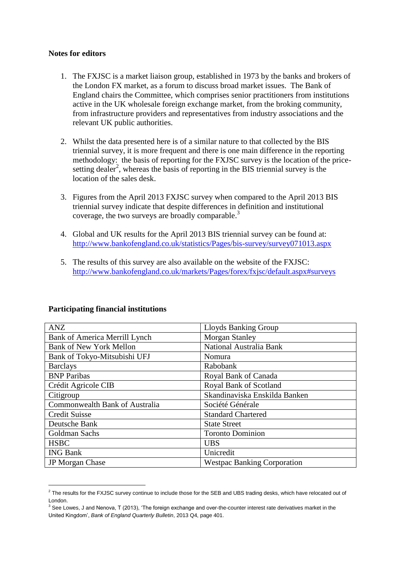#### **Notes for editors**

- 1. The FXJSC is a market liaison group, established in 1973 by the banks and brokers of the London FX market, as a forum to discuss broad market issues. The Bank of England chairs the Committee, which comprises senior practitioners from institutions active in the UK wholesale foreign exchange market, from the broking community, from infrastructure providers and representatives from industry associations and the relevant UK public authorities.
- 2. Whilst the data presented here is of a similar nature to that collected by the BIS triennial survey, it is more frequent and there is one main difference in the reporting methodology: the basis of reporting for the FXJSC survey is the location of the pricesetting dealer<sup>2</sup>, whereas the basis of reporting in the BIS triennial survey is the location of the sales desk.
- 3. Figures from the April 2013 FXJSC survey when compared to the April 2013 BIS triennial survey indicate that despite differences in definition and institutional coverage, the two surveys are broadly comparable. $3$
- 4. Global and UK results for the April 2013 BIS triennial survey can be found at: <http://www.bankofengland.co.uk/statistics/Pages/bis-survey/survey071013.aspx>
- 5. The results of this survey are also available on the website of the FXJSC: <http://www.bankofengland.co.uk/markets/Pages/forex/fxjsc/default.aspx#surveys>

| <b>ANZ</b>                     | Lloyds Banking Group               |
|--------------------------------|------------------------------------|
| Bank of America Merrill Lynch  | <b>Morgan Stanley</b>              |
| <b>Bank of New York Mellon</b> | National Australia Bank            |
| Bank of Tokyo-Mitsubishi UFJ   | Nomura                             |
| <b>Barclays</b>                | Rabobank                           |
| <b>BNP</b> Paribas             | Royal Bank of Canada               |
| Crédit Agricole CIB            | Royal Bank of Scotland             |
| Citigroup                      | Skandinaviska Enskilda Banken      |
| Commonwealth Bank of Australia | Société Générale                   |
| <b>Credit Suisse</b>           | <b>Standard Chartered</b>          |
| Deutsche Bank                  | <b>State Street</b>                |
| Goldman Sachs                  | <b>Toronto Dominion</b>            |
| <b>HSBC</b>                    | <b>UBS</b>                         |
| <b>ING Bank</b>                | Unicredit                          |
| JP Morgan Chase                | <b>Westpac Banking Corporation</b> |

### **Participating financial institutions**

1

 $^2$  The results for the FXJSC survey continue to include those for the SEB and UBS trading desks, which have relocated out of London.

<sup>&</sup>lt;sup>3</sup> See Lowes, J and Nenova, T (2013), 'The foreign exchange and over-the-counter interest rate derivatives market in the United Kingdom', *Bank of England Quarterly Bulletin*, 2013 Q4, page 401.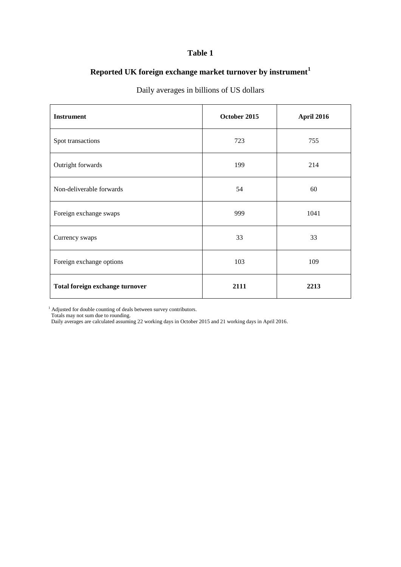## **Reported UK foreign exchange market turnover by instrument<sup>1</sup>**

| <b>Instrument</b>               | October 2015 | April 2016 |  |
|---------------------------------|--------------|------------|--|
| Spot transactions               | 723          | 755        |  |
| Outright forwards               | 199          | 214        |  |
| Non-deliverable forwards        | 54           | 60         |  |
| Foreign exchange swaps          | 999          | 1041       |  |
| Currency swaps                  | 33           | 33         |  |
| Foreign exchange options        | 103          | 109        |  |
| Total foreign exchange turnover | 2111         | 2213       |  |

## Daily averages in billions of US dollars

<sup>1</sup> Adjusted for double counting of deals between survey contributors.

Totals may not sum due to rounding.

Daily averages are calculated assuming 22 working days in October 2015 and 21 working days in April 2016.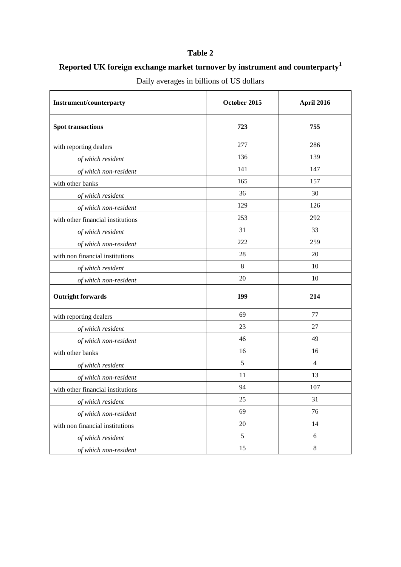# **Reported UK foreign exchange market turnover by instrument and counterparty<sup>1</sup>**

| <b>Instrument/counterparty</b>    | October 2015 | April 2016     |
|-----------------------------------|--------------|----------------|
| <b>Spot transactions</b>          | 723          | 755            |
| with reporting dealers            | 277          | 286            |
| of which resident                 | 136          | 139            |
| of which non-resident             | 141          | 147            |
| with other banks                  | 165          | 157            |
| of which resident                 | 36           | 30             |
| of which non-resident             | 129          | 126            |
| with other financial institutions | 253          | 292            |
| of which resident                 | 31           | 33             |
| of which non-resident             | 222          | 259            |
| with non financial institutions   | 28           | 20             |
| of which resident                 | $\,8\,$      | 10             |
| of which non-resident             | 20           | 10             |
| <b>Outright forwards</b>          | 199          | 214            |
| with reporting dealers            | 69           | 77             |
| of which resident                 | 23           | 27             |
| of which non-resident             | 46           | 49             |
| with other banks                  | 16           | 16             |
| of which resident                 | 5            | $\overline{4}$ |
| of which non-resident             | 11           | 13             |
| with other financial institutions | 94           | 107            |
| of which resident                 | 25           | 31             |
| of which non-resident             | 69           | 76             |
| with non financial institutions   | 20           | 14             |
| of which resident                 | 5            | $\sqrt{6}$     |
| of which non-resident             | 15           | $8\,$          |

Daily averages in billions of US dollars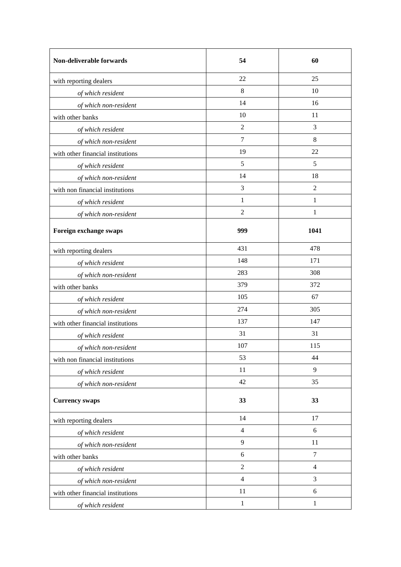| Non-deliverable forwards          | 54             | 60             |  |
|-----------------------------------|----------------|----------------|--|
| with reporting dealers            | 22             | 25             |  |
| of which resident                 | 8              | 10             |  |
| of which non-resident             | 14             | 16             |  |
| with other banks                  | 10             | 11             |  |
| of which resident                 | $\overline{2}$ | 3              |  |
| of which non-resident             | $\overline{7}$ | 8              |  |
| with other financial institutions | 19             | 22             |  |
| of which resident                 | 5              | 5              |  |
| of which non-resident             | 14             | 18             |  |
| with non financial institutions   | 3              | $\overline{2}$ |  |
| of which resident                 | 1              | $\mathbf{1}$   |  |
| of which non-resident             | $\overline{2}$ | $\mathbf{1}$   |  |
| Foreign exchange swaps            | 999            | 1041           |  |
| with reporting dealers            | 431            | 478            |  |
| of which resident                 | 148            | 171            |  |
| of which non-resident             | 283            | 308            |  |
| with other banks                  | 379            | 372            |  |
| of which resident                 | 105            | 67             |  |
| of which non-resident             | 274            | 305            |  |
| with other financial institutions | 137            | 147            |  |
| of which resident                 | 31             | 31             |  |
| of which non-resident             | 107            | 115            |  |
| with non financial institutions   | 53             | 44             |  |
| of which resident                 | 11             | 9              |  |
| of which non-resident             | 42             | 35             |  |
| <b>Currency swaps</b>             | 33             | 33             |  |
| with reporting dealers            | 14             | 17             |  |
| of which resident                 | $\overline{4}$ | 6              |  |
| of which non-resident             | 9              | 11             |  |
| with other banks                  | 6              | $\overline{7}$ |  |
| of which resident                 | $\overline{2}$ | $\overline{4}$ |  |
| of which non-resident             | $\overline{4}$ | 3              |  |
| with other financial institutions | 11             | 6              |  |
| of which resident                 | $\mathbf{1}$   | $\mathbf{1}$   |  |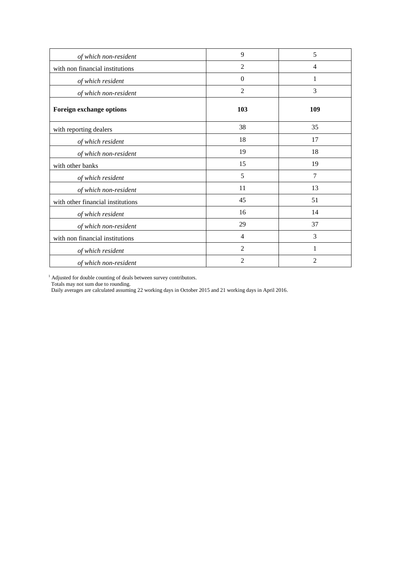| of which non-resident             | 9              | 5              |
|-----------------------------------|----------------|----------------|
| with non financial institutions   | $\overline{2}$ | $\overline{4}$ |
| of which resident                 | $\Omega$       | 1              |
| of which non-resident             | $\overline{2}$ | 3              |
| Foreign exchange options          | 103            | 109            |
| with reporting dealers            | 38             | 35             |
| of which resident                 | 18             | 17             |
| of which non-resident             | 19             | 18             |
| with other banks                  | 15             | 19             |
| of which resident                 | 5              | 7              |
| of which non-resident             | 11             | 13             |
| with other financial institutions | 45             | 51             |
| of which resident                 | 16             | 14             |
| of which non-resident             | 29             | 37             |
| with non financial institutions   | 4              | 3              |
| of which resident                 | $\overline{2}$ | 1              |
| of which non-resident             | 2              | 2              |

<sup>1</sup> Adjusted for double counting of deals between survey contributors.

Totals may not sum due to rounding.

Daily averages are calculated assuming 22 working days in October 2015 and 21 working days in April 2016.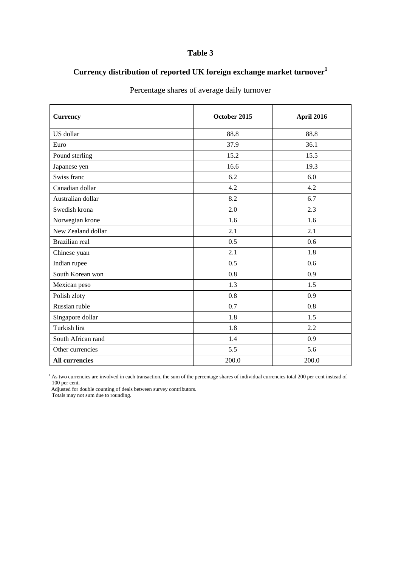# **Currency distribution of reported UK foreign exchange market turnover<sup>1</sup>**

| <b>Currency</b>       | October 2015 | April 2016 |
|-----------------------|--------------|------------|
| US dollar             | 88.8         | 88.8       |
| Euro                  | 37.9         | 36.1       |
| Pound sterling        | 15.2         | 15.5       |
| Japanese yen          | 16.6<br>19.3 |            |
| Swiss franc           | 6.2          | 6.0        |
| Canadian dollar       | 4.2          | 4.2        |
| Australian dollar     | 8.2          | 6.7        |
| Swedish krona         | 2.0          | 2.3        |
| Norwegian krone       | 1.6          | 1.6        |
| New Zealand dollar    | 2.1          | 2.1        |
| Brazilian real        | 0.5          | 0.6        |
| Chinese yuan          | 2.1          | 1.8        |
| Indian rupee          | 0.5<br>0.6   |            |
| South Korean won      | 0.8<br>0.9   |            |
| Mexican peso          | 1.3          | 1.5        |
| Polish zloty          | 0.8          | 0.9        |
| Russian ruble         | 0.7<br>0.8   |            |
| Singapore dollar      | 1.8<br>1.5   |            |
| Turkish lira          | 1.8<br>2.2   |            |
| South African rand    | 1.4          | 0.9        |
| Other currencies      | 5.5          | 5.6        |
| <b>All currencies</b> | 200.0        | 200.0      |

## Percentage shares of average daily turnover

<sup>1</sup> As two currencies are involved in each transaction, the sum of the percentage shares of individual currencies total 200 per cent instead of 100 per cent.

Adjusted for double counting of deals between survey contributors.

Totals may not sum due to rounding.